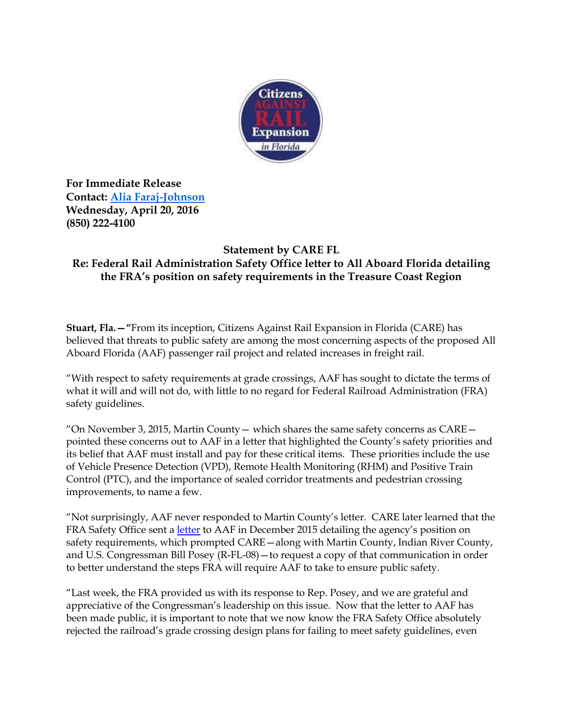

**For Immediate Release Contact: [Alia Faraj-Johnson](mailto:alia.faraj@hkstrategies.com) Wednesday, April 20, 2016 (850) 222-4100**

## **Statement by CARE FL**

## **Re: Federal Rail Administration Safety Office letter to All Aboard Florida detailing the FRA's position on safety requirements in the Treasure Coast Region**

**Stuart, Fla.—"**From its inception, Citizens Against Rail Expansion in Florida (CARE) has believed that threats to public safety are among the most concerning aspects of the proposed All Aboard Florida (AAF) passenger rail project and related increases in freight rail.

"With respect to safety requirements at grade crossings, AAF has sought to dictate the terms of what it will and will not do, with little to no regard for Federal Railroad Administration (FRA) safety guidelines.

"On November 3, 2015, Martin County — which shares the same safety concerns as  $CARE$  pointed these concerns out to AAF in a letter that highlighted the County's safety priorities and its belief that AAF must install and pay for these critical items. These priorities include the use of Vehicle Presence Detection (VPD), Remote Health Monitoring (RHM) and Positive Train Control (PTC), and the importance of sealed corridor treatments and pedestrian crossing improvements, to name a few.

"Not surprisingly, AAF never responded to Martin County's letter. CARE later learned that the FRA Safety Office sent a *letter* to AAF in December 2015 detailing the agency's position on safety requirements, which prompted CARE—along with Martin County, Indian River County, and U.S. Congressman Bill Posey (R-FL-08)—to request a copy of that communication in order to better understand the steps FRA will require AAF to take to ensure public safety.

"Last week, the FRA provided us with its response to Rep. Posey, and we are grateful and appreciative of the Congressman's leadership on this issue. Now that the letter to AAF has been made public, it is important to note that we now know the FRA Safety Office absolutely rejected the railroad's grade crossing design plans for failing to meet safety guidelines, even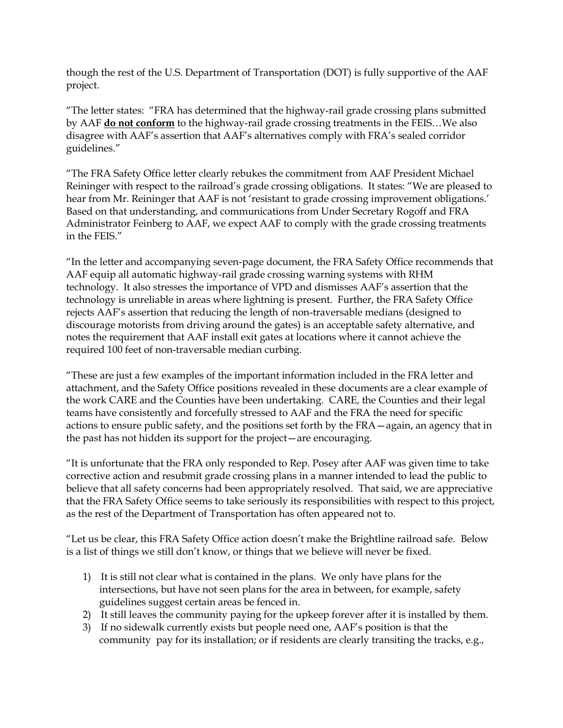though the rest of the U.S. Department of Transportation (DOT) is fully supportive of the AAF project.

"The letter states: "FRA has determined that the highway-rail grade crossing plans submitted by AAF **do not conform** to the highway-rail grade crossing treatments in the FEIS…We also disagree with AAF's assertion that AAF's alternatives comply with FRA's sealed corridor guidelines."

"The FRA Safety Office letter clearly rebukes the commitment from AAF President Michael Reininger with respect to the railroad's grade crossing obligations. It states: "We are pleased to hear from Mr. Reininger that AAF is not 'resistant to grade crossing improvement obligations.' Based on that understanding, and communications from Under Secretary Rogoff and FRA Administrator Feinberg to AAF, we expect AAF to comply with the grade crossing treatments in the FEIS."

"In the letter and accompanying seven-page document, the FRA Safety Office recommends that AAF equip all automatic highway-rail grade crossing warning systems with RHM technology. It also stresses the importance of VPD and dismisses AAF's assertion that the technology is unreliable in areas where lightning is present. Further, the FRA Safety Office rejects AAF's assertion that reducing the length of non-traversable medians (designed to discourage motorists from driving around the gates) is an acceptable safety alternative, and notes the requirement that AAF install exit gates at locations where it cannot achieve the required 100 feet of non-traversable median curbing.

"These are just a few examples of the important information included in the FRA letter and attachment, and the Safety Office positions revealed in these documents are a clear example of the work CARE and the Counties have been undertaking. CARE, the Counties and their legal teams have consistently and forcefully stressed to AAF and the FRA the need for specific actions to ensure public safety, and the positions set forth by the FRA—again, an agency that in the past has not hidden its support for the project—are encouraging.

"It is unfortunate that the FRA only responded to Rep. Posey after AAF was given time to take corrective action and resubmit grade crossing plans in a manner intended to lead the public to believe that all safety concerns had been appropriately resolved. That said, we are appreciative that the FRA Safety Office seems to take seriously its responsibilities with respect to this project, as the rest of the Department of Transportation has often appeared not to.

"Let us be clear, this FRA Safety Office action doesn't make the Brightline railroad safe. Below is a list of things we still don't know, or things that we believe will never be fixed.

- 1) It is still not clear what is contained in the plans. We only have plans for the intersections, but have not seen plans for the area in between, for example, safety guidelines suggest certain areas be fenced in.
- 2) It still leaves the community paying for the upkeep forever after it is installed by them.
- 3) If no sidewalk currently exists but people need one, AAF's position is that the community pay for its installation; or if residents are clearly transiting the tracks, e.g.,